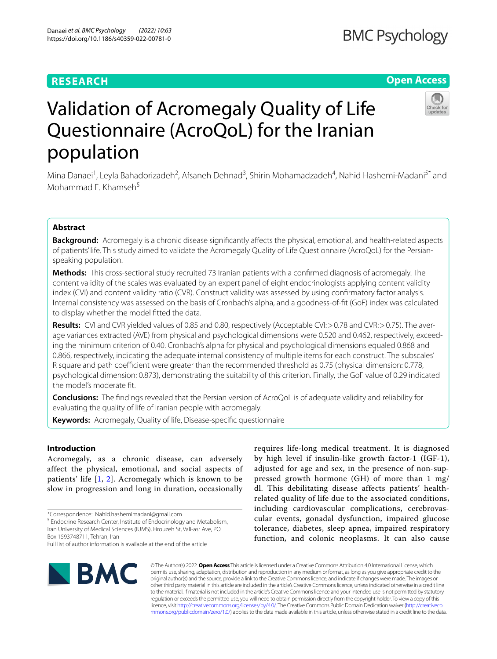# **RESEARCH**

## **Open Access**



# Validation of Acromegaly Quality of Life Questionnaire (AcroQoL) for the Iranian population

Mina Danaei<sup>1</sup>, Leyla Bahadorizadeh<sup>2</sup>, Afsaneh Dehnad<sup>3</sup>, Shirin Mohamadzadeh<sup>4</sup>, Nahid Hashemi-Madani<sup>5\*</sup> and Mohammad E. Khamseh $5$ 

### **Abstract**

**Background:** Acromegaly is a chronic disease signifcantly afects the physical, emotional, and health-related aspects of patients' life. This study aimed to validate the Acromegaly Quality of Life Questionnaire (AcroQoL) for the Persianspeaking population.

**Methods:** This cross-sectional study recruited 73 Iranian patients with a confrmed diagnosis of acromegaly. The content validity of the scales was evaluated by an expert panel of eight endocrinologists applying content validity index (CVI) and content validity ratio (CVR). Construct validity was assessed by using confrmatory factor analysis. Internal consistency was assessed on the basis of Cronbach's alpha, and a goodness-of-ft (GoF) index was calculated to display whether the model ftted the data.

Results: CVI and CVR yielded values of 0.85 and 0.80, respectively (Acceptable CVI: > 0.78 and CVR: > 0.75). The average variances extracted (AVE) from physical and psychological dimensions were 0.520 and 0.462, respectively, exceeding the minimum criterion of 0.40. Cronbach's alpha for physical and psychological dimensions equaled 0.868 and 0.866, respectively, indicating the adequate internal consistency of multiple items for each construct. The subscales' R square and path coefficient were greater than the recommended threshold as 0.75 (physical dimension: 0.778, psychological dimension: 0.873), demonstrating the suitability of this criterion. Finally, the GoF value of 0.29 indicated the model's moderate ft.

**Conclusions:** The fndings revealed that the Persian version of AcroQoL is of adequate validity and reliability for evaluating the quality of life of Iranian people with acromegaly.

**Keywords:** Acromegaly, Quality of life, Disease-specifc questionnaire

#### **Introduction**

Acromegaly, as a chronic disease, can adversely affect the physical, emotional, and social aspects of patients' life [[1,](#page-6-0) [2\]](#page-6-1). Acromegaly which is known to be slow in progression and long in duration, occasionally

<sup>5</sup> Endocrine Research Center, Institute of Endocrinology and Metabolism, Iran University of Medical Sciences (IUMS), Firouzeh St, Vali‑asr Ave, PO Box 1593748711, Tehran, Iran

requires life-long medical treatment. It is diagnosed by high level if insulin-like growth factor-1 (IGF-1), adjusted for age and sex, in the presence of non-suppressed growth hormone (GH) of more than 1 mg/ dl. This debilitating disease affects patients' healthrelated quality of life due to the associated conditions, including cardiovascular complications, cerebrovascular events, gonadal dysfunction, impaired glucose tolerance, diabetes, sleep apnea, impaired respiratory function, and colonic neoplasms. It can also cause



© The Author(s) 2022. **Open Access** This article is licensed under a Creative Commons Attribution 4.0 International License, which permits use, sharing, adaptation, distribution and reproduction in any medium or format, as long as you give appropriate credit to the original author(s) and the source, provide a link to the Creative Commons licence, and indicate if changes were made. The images or other third party material in this article are included in the article's Creative Commons licence, unless indicated otherwise in a credit line to the material. If material is not included in the article's Creative Commons licence and your intended use is not permitted by statutory regulation or exceeds the permitted use, you will need to obtain permission directly from the copyright holder. To view a copy of this licence, visit [http://creativecommons.org/licenses/by/4.0/.](http://creativecommons.org/licenses/by/4.0/) The Creative Commons Public Domain Dedication waiver ([http://creativeco](http://creativecommons.org/publicdomain/zero/1.0/) [mmons.org/publicdomain/zero/1.0/](http://creativecommons.org/publicdomain/zero/1.0/)) applies to the data made available in this article, unless otherwise stated in a credit line to the data.

<sup>\*</sup>Correspondence: Nahid.hashemimadani@gmail.com

Full list of author information is available at the end of the article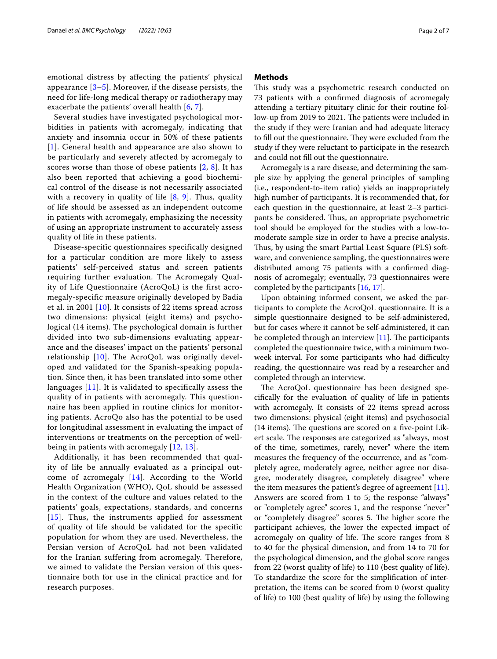emotional distress by affecting the patients' physical appearance  $[3-5]$  $[3-5]$  $[3-5]$ . Moreover, if the disease persists, the need for life-long medical therapy or radiotherapy may exacerbate the patients' overall health [[6,](#page-6-4) [7\]](#page-6-5).

Several studies have investigated psychological morbidities in patients with acromegaly, indicating that anxiety and insomnia occur in 50% of these patients [[1](#page-6-0)]. General health and appearance are also shown to be particularly and severely affected by acromegaly to scores worse than those of obese patients [[2](#page-6-1), [8\]](#page-6-6). It has also been reported that achieving a good biochemical control of the disease is not necessarily associated with a recovery in quality of life  $[8, 9]$  $[8, 9]$  $[8, 9]$  $[8, 9]$ . Thus, quality of life should be assessed as an independent outcome in patients with acromegaly, emphasizing the necessity of using an appropriate instrument to accurately assess quality of life in these patients.

Disease-specific questionnaires specifically designed for a particular condition are more likely to assess patients' self-perceived status and screen patients requiring further evaluation. The Acromegaly Quality of Life Questionnaire (AcroQoL) is the first acromegaly-specific measure originally developed by Badia et al. in 2001 [[10](#page-6-8)]. It consists of 22 items spread across two dimensions: physical (eight items) and psychological (14 items). The psychological domain is further divided into two sub-dimensions evaluating appearance and the diseases' impact on the patients' personal relationship [[10](#page-6-8)]. The AcroQoL was originally developed and validated for the Spanish-speaking population. Since then, it has been translated into some other languages [[11](#page-6-9)]. It is validated to specifically assess the quality of in patients with acromegaly. This questionnaire has been applied in routine clinics for monitoring patients. AcroQo also has the potential to be used for longitudinal assessment in evaluating the impact of interventions or treatments on the perception of wellbeing in patients with acromegaly [\[12,](#page-6-10) [13\]](#page-6-11).

Additionally, it has been recommended that quality of life be annually evaluated as a principal outcome of acromegaly [[14](#page-6-12)]. According to the World Health Organization (WHO), QoL should be assessed in the context of the culture and values related to the patients' goals, expectations, standards, and concerns [[15](#page-6-13)]. Thus, the instruments applied for assessment of quality of life should be validated for the specific population for whom they are used. Nevertheless, the Persian version of AcroQoL had not been validated for the Iranian suffering from acromegaly. Therefore, we aimed to validate the Persian version of this questionnaire both for use in the clinical practice and for research purposes.

#### **Methods**

This study was a psychometric research conducted on 73 patients with a confrmed diagnosis of acromegaly attending a tertiary pituitary clinic for their routine follow-up from 2019 to 2021. The patients were included in the study if they were Iranian and had adequate literacy to fill out the questionnaire. They were excluded from the study if they were reluctant to participate in the research and could not fll out the questionnaire.

Acromegaly is a rare disease, and determining the sample size by applying the general principles of sampling (i.e., respondent-to-item ratio) yields an inappropriately high number of participants. It is recommended that, for each question in the questionnaire, at least 2–3 participants be considered. Thus, an appropriate psychometric tool should be employed for the studies with a low-tomoderate sample size in order to have a precise analysis. Thus, by using the smart Partial Least Square (PLS) software, and convenience sampling, the questionnaires were distributed among 75 patients with a confrmed diagnosis of acromegaly; eventually, 73 questionnaires were completed by the participants [[16,](#page-6-14) [17](#page-6-15)].

Upon obtaining informed consent, we asked the participants to complete the AcroQoL questionnaire. It is a simple questionnaire designed to be self-administered, but for cases where it cannot be self-administered, it can be completed through an interview  $[11]$ . The participants completed the questionnaire twice, with a minimum twoweek interval. For some participants who had difficulty reading, the questionnaire was read by a researcher and completed through an interview.

The AcroQoL questionnaire has been designed specifcally for the evaluation of quality of life in patients with acromegaly. It consists of 22 items spread across two dimensions: physical (eight items) and psychosocial  $(14$  items). The questions are scored on a five-point Likert scale. The responses are categorized as "always, most of the time, sometimes, rarely, never" where the item measures the frequency of the occurrence, and as "completely agree, moderately agree, neither agree nor disagree, moderately disagree, completely disagree" where the item measures the patient's degree of agreement [\[11](#page-6-9)]. Answers are scored from 1 to 5; the response "always" or "completely agree" scores 1, and the response "never" or "completely disagree" scores 5. The higher score the participant achieves, the lower the expected impact of acromegaly on quality of life. The score ranges from 8 to 40 for the physical dimension, and from 14 to 70 for the psychological dimension, and the global score ranges from 22 (worst quality of life) to 110 (best quality of life). To standardize the score for the simplifcation of interpretation, the items can be scored from 0 (worst quality of life) to 100 (best quality of life) by using the following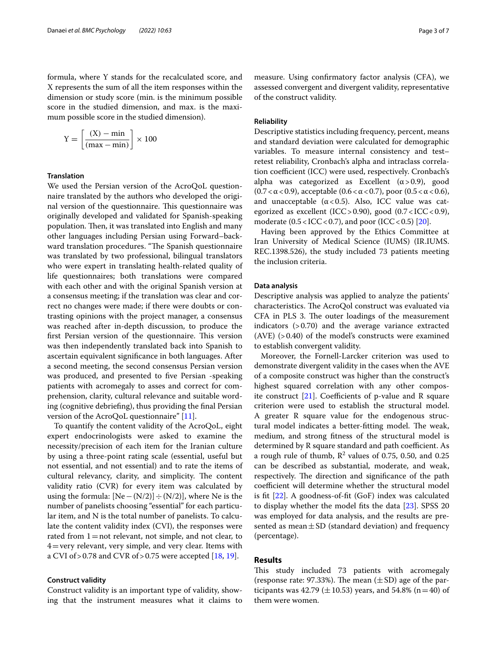formula, where Y stands for the recalculated score, and X represents the sum of all the item responses within the dimension or study score (min. is the minimum possible score in the studied dimension, and max. is the maximum possible score in the studied dimension).

$$
Y = \left[\frac{(X) - \min}{(\max - \min)}\right] \times 100
$$

#### **Translation**

We used the Persian version of the AcroQoL questionnaire translated by the authors who developed the original version of the questionnaire. This questionnaire was originally developed and validated for Spanish-speaking population. Then, it was translated into English and many other languages including Persian using Forward–backward translation procedures. "The Spanish questionnaire was translated by two professional, bilingual translators who were expert in translating health-related quality of life questionnaires; both translations were compared with each other and with the original Spanish version at a consensus meeting; if the translation was clear and correct no changes were made; if there were doubts or contrasting opinions with the project manager, a consensus was reached after in-depth discussion, to produce the first Persian version of the questionnaire. This version was then independently translated back into Spanish to ascertain equivalent signifcance in both languages. After a second meeting, the second consensus Persian version was produced, and presented to five Persian -speaking patients with acromegaly to asses and correct for comprehension, clarity, cultural relevance and suitable wording (cognitive debriefng), thus providing the fnal Persian version of the AcroQoL questionnaire" [[11](#page-6-9)].

To quantify the content validity of the AcroQoL, eight expert endocrinologists were asked to examine the necessity/precision of each item for the Iranian culture by using a three-point rating scale (essential, useful but not essential, and not essential) and to rate the items of cultural relevancy, clarity, and simplicity. The content validity ratio (CVR) for every item was calculated by using the formula:  $[Ne-(N/2)] \div (N/2)$ , where Ne is the number of panelists choosing "essential" for each particular item, and N is the total number of panelists. To calculate the content validity index (CVI), the responses were rated from  $1=$  not relevant, not simple, and not clear, to  $4$  = very relevant, very simple, and very clear. Items with a CVI of > 0.78 and CVR of > 0.75 were accepted  $[18, 19]$  $[18, 19]$  $[18, 19]$  $[18, 19]$ .

#### **Construct validity**

Construct validity is an important type of validity, showing that the instrument measures what it claims to

#### **Reliability**

of the construct validity.

Descriptive statistics including frequency, percent, means and standard deviation were calculated for demographic variables. To measure internal consistency and test– retest reliability, Cronbach's alpha and intraclass correlation coefficient (ICC) were used, respectively. Cronbach's alpha was categorized as Excellent  $(\alpha > 0.9)$ , good (0.7 <  $\alpha$  < 0.9), acceptable (0.6 <  $\alpha$  < 0.7), poor (0.5 <  $\alpha$  < 0.6), and unacceptable  $(\alpha < 0.5)$ . Also, ICC value was categorized as excellent (ICC>0.90), good (0.7<ICC<0.9), moderate  $(0.5 < ICC < 0.7)$ , and poor  $(ICC < 0.5)$  [[20\]](#page-6-18).

Having been approved by the Ethics Committee at Iran University of Medical Science (IUMS) (IR.IUMS. REC.1398.526), the study included 73 patients meeting the inclusion criteria.

#### **Data analysis**

Descriptive analysis was applied to analyze the patients' characteristics. The AcroQol construct was evaluated via CFA in PLS 3. The outer loadings of the measurement indicators (>0.70) and the average variance extracted  $(AVE)$  (>0.40) of the model's constructs were examined to establish convergent validity.

Moreover, the Fornell-Larcker criterion was used to demonstrate divergent validity in the cases when the AVE of a composite construct was higher than the construct's highest squared correlation with any other composite construct  $[21]$  $[21]$ . Coefficients of p-value and R square criterion were used to establish the structural model. A greater R square value for the endogenous structural model indicates a better-fitting model. The weak, medium, and strong ftness of the structural model is determined by R square standard and path coefficient. As a rough rule of thumb,  $R^2$  values of 0.75, 0.50, and 0.25 can be described as substantial, moderate, and weak, respectively. The direction and significance of the path coefficient will determine whether the structural model is ft [[22\]](#page-6-20). A goodness-of-ft (GoF) index was calculated to display whether the model fts the data [\[23](#page-6-21)]. SPSS 20 was employed for data analysis, and the results are presented as mean $\pm$ SD (standard deviation) and frequency (percentage).

#### **Results**

This study included 73 patients with acromegaly (response rate: 97.33%). The mean  $(\pm SD)$  age of the participants was 42.79 ( $\pm$  10.53) years, and 54.8% (n=40) of them were women.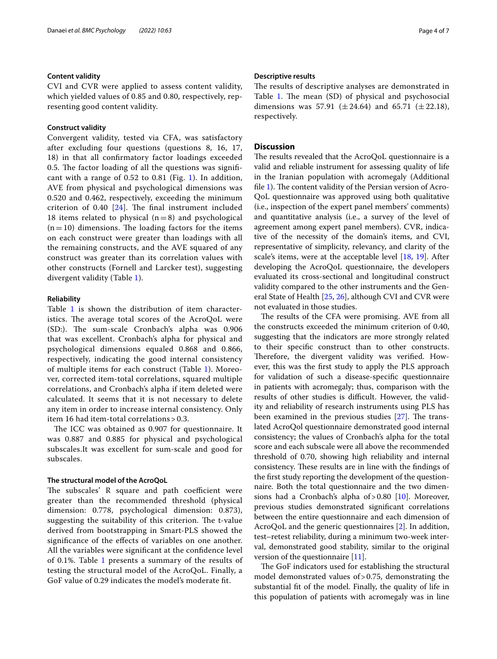#### **Content validity**

CVI and CVR were applied to assess content validity, which yielded values of 0.85 and 0.80, respectively, representing good content validity.

#### **Construct validity**

Convergent validity, tested via CFA, was satisfactory after excluding four questions (questions 8, 16, 17, 18) in that all confrmatory factor loadings exceeded 0.5. The factor loading of all the questions was significant with a range of  $0.52$  to  $0.81$  (Fig. [1\)](#page-4-0). In addition, AVE from physical and psychological dimensions was 0.520 and 0.462, respectively, exceeding the minimum criterion of 0.40  $[24]$  $[24]$ . The final instrument included 18 items related to physical  $(n=8)$  and psychological  $(n=10)$  dimensions. The loading factors for the items on each construct were greater than loadings with all the remaining constructs, and the AVE squared of any construct was greater than its correlation values with other constructs (Fornell and Larcker test), suggesting divergent validity (Table [1](#page-5-0)).

#### **Reliability**

Table [1](#page-5-0) is shown the distribution of item characteristics. The average total scores of the AcroQoL were  $(SD:$ ). The sum-scale Cronbach's alpha was  $0.906$ that was excellent. Cronbach's alpha for physical and psychological dimensions equaled 0.868 and 0.866, respectively, indicating the good internal consistency of multiple items for each construct (Table [1\)](#page-5-0). Moreover, corrected item-total correlations, squared multiple correlations, and Cronbach's alpha if item deleted were calculated. It seems that it is not necessary to delete any item in order to increase internal consistency. Only item 16 had item-total correlations > 0.3.

The ICC was obtained as 0.907 for questionnaire. It was 0.887 and 0.885 for physical and psychological subscales.It was excellent for sum-scale and good for subscales.

#### **The structural model of the AcroQoL**

The subscales' R square and path coefficient were greater than the recommended threshold (physical dimension: 0.778, psychological dimension: 0.873), suggesting the suitability of this criterion. The t-value derived from bootstrapping in Smart-PLS showed the signifcance of the efects of variables on one another. All the variables were signifcant at the confdence level of 0.1%. Table [1](#page-5-0) presents a summary of the results of testing the structural model of the AcroQoL. Finally, a GoF value of 0.29 indicates the model's moderate ft.

#### **Descriptive results**

The results of descriptive analyses are demonstrated in Table [1.](#page-5-0) The mean (SD) of physical and psychosocial dimensions was 57.91 ( $\pm 24.64$ ) and 65.71 ( $\pm 22.18$ ), respectively.

#### **Discussion**

The results revealed that the AcroQoL questionnaire is a valid and reliable instrument for assessing quality of life in the Iranian population with acromegaly (Additional file [1](#page-5-1)). The content validity of the Persian version of Acro-QoL questionnaire was approved using both qualitative (i.e., inspection of the expert panel members' comments) and quantitative analysis (i.e., a survey of the level of agreement among expert panel members). CVR, indicative of the necessity of the domain's items, and CVI, representative of simplicity, relevancy, and clarity of the scale's items, were at the acceptable level [\[18,](#page-6-16) [19](#page-6-17)]. After developing the AcroQoL questionnaire, the developers evaluated its cross-sectional and longitudinal construct validity compared to the other instruments and the General State of Health [[25,](#page-6-23) [26\]](#page-6-24), although CVI and CVR were not evaluated in those studies.

The results of the CFA were promising. AVE from all the constructs exceeded the minimum criterion of 0.40, suggesting that the indicators are more strongly related to their specifc construct than to other constructs. Therefore, the divergent validity was verified. However, this was the frst study to apply the PLS approach for validation of such a disease-specifc questionnaire in patients with acromegaly; thus, comparison with the results of other studies is difficult. However, the validity and reliability of research instruments using PLS has been examined in the previous studies  $[27]$  $[27]$ . The translated AcroQol questionnaire demonstrated good internal consistency; the values of Cronbach's alpha for the total score and each subscale were all above the recommended threshold of 0.70, showing high reliability and internal consistency. These results are in line with the findings of the frst study reporting the development of the questionnaire. Both the total questionnaire and the two dimensions had a Cronbach's alpha of  $> 0.80$  [[10\]](#page-6-8). Moreover, previous studies demonstrated signifcant correlations between the entire questionnaire and each dimension of AcroQoL and the generic questionnaires [[2\]](#page-6-1). In addition, test–retest reliability, during a minimum two-week interval, demonstrated good stability, similar to the original version of the questionnaire [\[11\]](#page-6-9).

The GoF indicators used for establishing the structural model demonstrated values of>0.75, demonstrating the substantial ft of the model. Finally, the quality of life in this population of patients with acromegaly was in line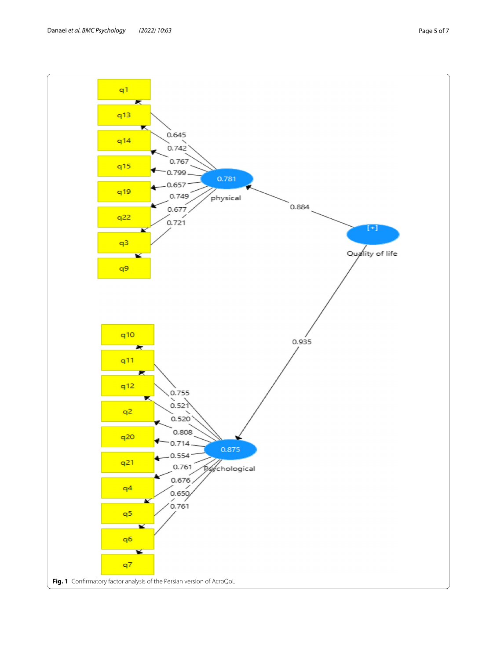<span id="page-4-0"></span>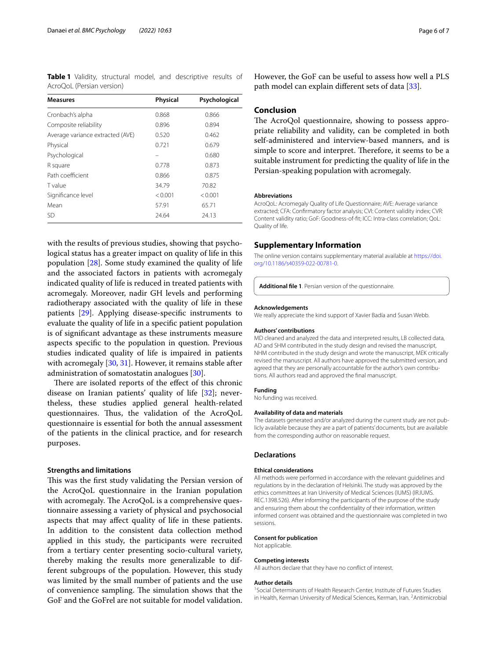<span id="page-5-0"></span>**Table 1** Validity, structural model, and descriptive results of AcroQoL (Persian version)

| <b>Measures</b>                  | <b>Physical</b> | Psychological |
|----------------------------------|-----------------|---------------|
| Cronbach's alpha                 | 0.868           | 0.866         |
| Composite reliability            | 0.896           | 0.894         |
| Average variance extracted (AVE) | 0.520           | 0.462         |
| Physical                         | 0.721           | 0.679         |
| Psychological                    |                 | 0.680         |
| R square                         | 0.778           | 0.873         |
| Path coefficient                 | 0.866           | 0.875         |
| <b>T</b> value                   | 34.79           | 70.82         |
| Significance level               | < 0.001         | < 0.001       |
| Mean                             | 57.91           | 65.71         |
| SD                               | 24.64           | 24.13         |

with the results of previous studies, showing that psychological status has a greater impact on quality of life in this population [[28](#page-6-26)]. Some study examined the quality of life and the associated factors in patients with acromegaly indicated quality of life is reduced in treated patients with acromegaly. Moreover, nadir GH levels and performing radiotherapy associated with the quality of life in these patients [\[29](#page-6-27)]. Applying disease-specifc instruments to evaluate the quality of life in a specifc patient population is of signifcant advantage as these instruments measure aspects specifc to the population in question. Previous studies indicated quality of life is impaired in patients with acromegaly [[30](#page-6-28), [31\]](#page-6-29). However, it remains stable after administration of somatostatin analogues [\[30\]](#page-6-28).

There are isolated reports of the effect of this chronic disease on Iranian patients' quality of life [[32](#page-6-30)]; nevertheless, these studies applied general health-related questionnaires. Thus, the validation of the AcroQoL questionnaire is essential for both the annual assessment of the patients in the clinical practice, and for research purposes.

#### **Strengths and limitations**

This was the first study validating the Persian version of the AcroQoL questionnaire in the Iranian population with acromegaly. The AcroQoL is a comprehensive questionnaire assessing a variety of physical and psychosocial aspects that may afect quality of life in these patients. In addition to the consistent data collection method applied in this study, the participants were recruited from a tertiary center presenting socio-cultural variety, thereby making the results more generalizable to different subgroups of the population. However, this study was limited by the small number of patients and the use of convenience sampling. The simulation shows that the GoF and the GoFrel are not suitable for model validation.

However, the GoF can be useful to assess how well a PLS path model can explain diferent sets of data [\[33](#page-6-31)].

#### **Conclusion**

The AcroQol questionnaire, showing to possess appropriate reliability and validity, can be completed in both self-administered and interview-based manners, and is simple to score and interpret. Therefore, it seems to be a suitable instrument for predicting the quality of life in the Persian-speaking population with acromegaly.

#### **Abbreviations**

AcroQoL: Acromegaly Quality of Life Questionnaire; AVE: Average variance extracted; CFA: Confrmatory factor analysis; CVI: Content validity index; CVR: Content validity ratio; GoF: Goodness-of-ft; ICC: Intra-class correlation; QoL: Quality of life.

#### **Supplementary Information**

The online version contains supplementary material available at [https://doi.](https://doi.org/10.1186/s40359-022-00781-0) [org/10.1186/s40359-022-00781-0](https://doi.org/10.1186/s40359-022-00781-0).

<span id="page-5-1"></span>**Additional fle 1**. Persian version of the questionnaire.

#### **Acknowledgements**

We really appreciate the kind support of Xavier Badía and Susan Webb.

#### **Authors' contributions**

MD cleaned and analyzed the data and interpreted results, LB collected data, AD and SHM contributed in the study design and revised the manuscript, NHM contributed in the study design and wrote the manuscript, MEK critically revised the manuscript. All authors have approved the submitted version, and agreed that they are personally accountable for the author's own contributions. All authors read and approved the fnal manuscript.

#### **Funding**

No funding was received.

#### **Availability of data and materials**

The datasets generated and/or analyzed during the current study are not publicly available because they are a part of patients' documents, but are available from the corresponding author on reasonable request.

#### **Declarations**

#### **Ethical considerations**

All methods were performed in accordance with the relevant guidelines and regulations by in the declaration of Helsinki. The study was approved by the ethics committees at Iran University of Medical Sciences (IUMS) (IR.IUMS. REC.1398.526). After informing the participants of the purpose of the study and ensuring them about the confdentiality of their information, written informed consent was obtained and the questionnaire was completed in two sessions.

#### **Consent for publication**

Not applicable.

#### **Competing interests**

All authors declare that they have no confict of interest.

#### **Author details**

<sup>1</sup> Social Determinants of Health Research Center, Institute of Futures Studies in Health, Kerman University of Medical Sciences, Kerman, Iran. <sup>2</sup> Antimicrobial